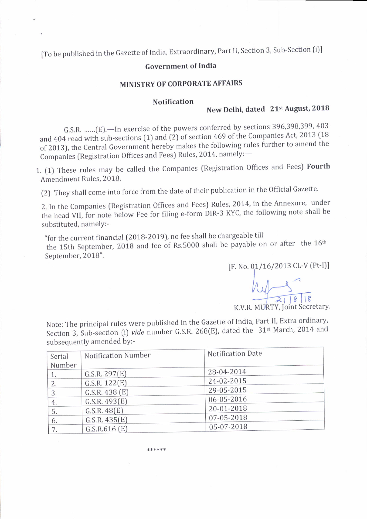[To be published in the Gazette of India, Extraordinary, Part II, Section 3, Sub-Section (i)]

#### **Government of India**

#### MINISTRY OF CORPORATE AFFAIRS

#### **Notification**

# New Delhi, dated 21st August, 2018

G.S.R. ......(E). - In exercise of the powers conferred by sections 396,398,399, 403 and 404 read with sub-sections (1) and (2) of section 469 of the Companies Act, 2013 (18 of 2013), the Central Government hereby makes the following rules further to amend the Companies (Registration Offices and Fees) Rules, 2014, namely:-

1. (1) These rules may be called the Companies (Registration Offices and Fees) Fourth Amendment Rules, 2018.

(2) They shall come into force from the date of their publication in the Official Gazette.

2. In the Companies (Registration Offices and Fees) Rules, 2014, in the Annexure, under the head VII, for note below Fee for filing e-form DIR-3 KYC, the following note shall be substituted, namely:-

"for the current financial (2018-2019), no fee shall be chargeable till the 15th September, 2018 and fee of Rs.5000 shall be payable on or after the 16<sup>th</sup> September, 2018".

[F. No. 01/16/2013 CL-V (Pt-I)]

K.V.R. MURTY, Joint Secretary.

Note: The principal rules were published in the Gazette of India, Part II, Extra ordinary, Section 3, Sub-section (i) vide number G.S.R. 268(E), dated the 31<sup>st</sup> March, 2014 and subsequently amended by:-

| Serial | Notification Number | Notification Date |  |
|--------|---------------------|-------------------|--|
| Number |                     |                   |  |
|        | G.S.R. 297(E)       | 28-04-2014        |  |
|        | G.S.R. 122(E)       | 24-02-2015        |  |
| 3.     | G.S.R. $438$ (E)    | 29-05-2015        |  |
| 4.     | G.S.R. 493(E)       | 06-05-2016        |  |
| 5.     | G.S.R. 48(E)        | 20-01-2018        |  |
| 6.     | G.S.R. 435(E)       | 07-05-2018        |  |
|        | G.S.R.616(E)        | 05-07-2018        |  |